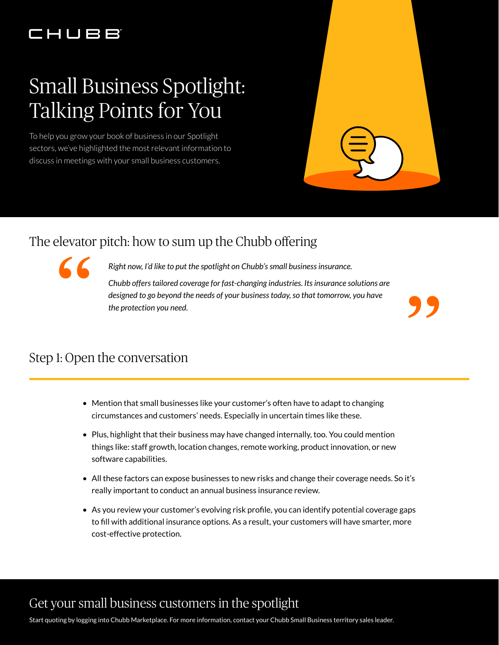## CHUBB

# Small Business Spotlight: Talking Points for You

To help you grow your book of business in our Spotlight sectors, we've highlighted the most relevant information to discuss in meetings with your small business customers.

#### The elevator pitch: how to sum up the Chubb offering

"

*Right now, I'd like to put the spotlight on Chubb's small business insurance.*

*Chubb offers tailored coverage for fast-changing industries. Its insurance solutions are designed to go beyond the needs of your business today, so that tomorrow, you have*  Itch: how to sum up the Chubb offering<br>*Right now, I'd like to put the spotlight on Chubb's small business insurance.*<br>Chubb offers tailored coverage for fast-changing industries. Its insurance solutions are<br>designed to go

#### Step 1: Open the conversation

- Mention that small businesses like your customer's often have to adapt to changing circumstances and customers' needs. Especially in uncertain times like these.
- Plus, highlight that their business may have changed internally, too. You could mention things like: staff growth, location changes, remote working, product innovation, or new software capabilities.
- All these factors can expose businesses to new risks and change their coverage needs. So it's really important to conduct an annual business insurance review.
- As you review your customer's evolving risk profile, you can identify potential coverage gaps to fill with additional insurance options. As a result, your customers will have smarter, more cost-effective protection.

#### Get your small business customers in the spotlight

Start quoting by logging into Chubb Marketplace. For more information, contact your Chubb Small Business territory sales leader.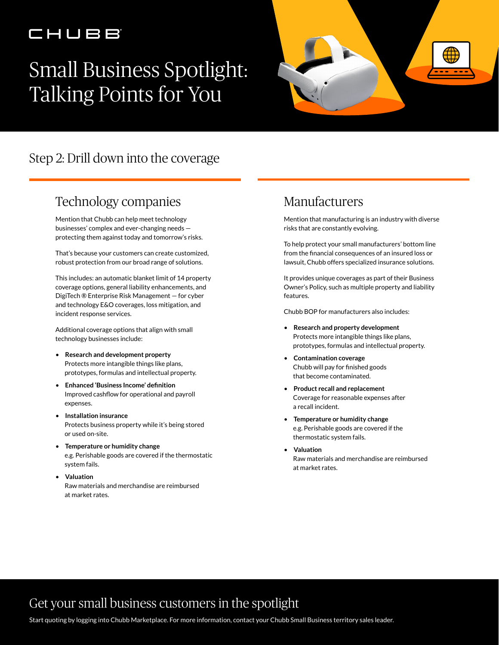### CHUBB

# Small Business Spotlight: Talking Points for You



### Step 2: Drill down into the coverage

#### Technology companies

Mention that Chubb can help meet technology businesses' complex and ever-changing needs protecting them against today and tomorrow's risks.

That's because your customers can create customized, robust protection from our broad range of solutions.

This includes: an automatic blanket limit of 14 property coverage options, general liability enhancements, and DigiTech ® Enterprise Risk Management — for cyber and technology E&O coverages, loss mitigation, and incident response services.

Additional coverage options that align with small technology businesses include:

- **Research and development property** Protects more intangible things like plans, prototypes, formulas and intellectual property.
- **Enhanced 'Business Income' definition** Improved cashflow for operational and payroll expenses.
- **Installation insurance** Protects business property while it's being stored or used on-site.
- **Temperature or humidity change** e.g. Perishable goods are covered if the thermostatic system fails.
- **Valuation** Raw materials and merchandise are reimbursed at market rates.

#### Manufacturers

Mention that manufacturing is an industry with diverse risks that are constantly evolving.

To help protect your small manufacturers' bottom line from the financial consequences of an insured loss or lawsuit, Chubb offers specialized insurance solutions.

It provides unique coverages as part of their Business Owner's Policy, such as multiple property and liability features.

Chubb BOP for manufacturers also includes:

- **Research and property development** Protects more intangible things like plans, prototypes, formulas and intellectual property.
- **Contamination coverage** Chubb will pay for finished goods that become contaminated.
- **Product recall and replacement** Coverage for reasonable expenses after a recall incident.
- **Temperature or humidity change** e.g. Perishable goods are covered if the thermostatic system fails.
- **Valuation** Raw materials and merchandise are reimbursed at market rates.

#### Get your small business customers in the spotlight

Start quoting by logging into Chubb Marketplace. For more information, contact your Chubb Small Business territory sales leader.